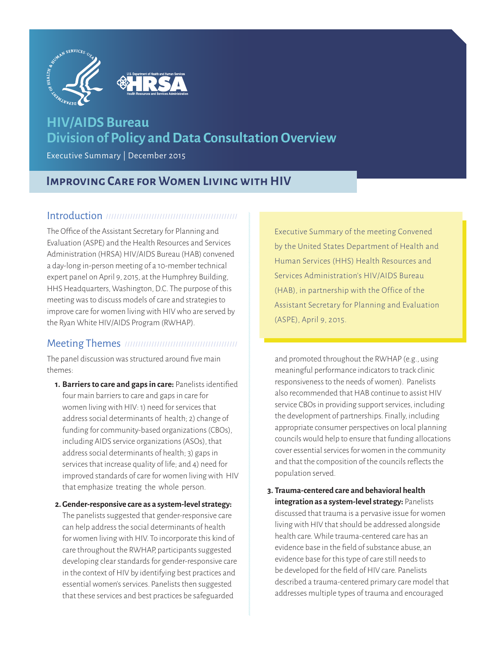

# **HIV/AIDS Bureau Division of Policy and Data Consultation Overview**

Executive Summary | December 2015

## **Improving Care for Women Living with HIV**

#### Introduction //////////

The Office of the Assistant Secretary for Planning and Evaluation (ASPE) and the Health Resources and Services Administration (HRSA) HIV/AIDS Bureau (HAB) convened a day-long in-person meeting of a 10-member technical expert panel on April 9, 2015, at the Humphrey Building, HHS Headquarters, Washington, D.C. The purpose of this meeting was to discuss models of care and strategies to improve care for women living with HIV who are served by the Ryan White HIV/AIDS Program (RWHAP).

### Meeting Themes

The panel discussion was structured around five main themes:

**1. Barriers to care and gaps in care:** Panelists identified four main barriers to care and gaps in care for women living with HIV: 1) need for services that address social determinants of health; 2) change of funding for community-based organizations (CBOs), including AIDS service organizations (ASOs), that address social determinants of health; 3) gaps in services that increase quality of life; and 4) need for improved standards of care for women living with HIV that emphasize treating the whole person.

### **2. Gender-responsive care as a system-level strategy:**

The panelists suggested that gender-responsive care can help address the social determinants of health for women living with HIV. To incorporate this kind of care throughout the RWHAP, participants suggested developing clear standards for gender-responsive care in the context of HIV by identifying best practices and essential women's services. Panelists then suggested that these services and best practices be safeguarded

Executive Summary of the meeting Convened by the United States Department of Health and Human Services (HHS) Health Resources and Services Administration's HIV/AIDS Bureau (HAB), in partnership with the Office of the Assistant Secretary for Planning and Evaluation (ASPE), April 9, 2015.

and promoted throughout the RWHAP (e.g., using meaningful performance indicators to track clinic responsiveness to the needs of women). Panelists also recommended that HAB continue to assist HIV service CBOs in providing support services, including the development of partnerships. Finally, including appropriate consumer perspectives on local planning councils would help to ensure that funding allocations cover essential services for women in the community and that the composition of the councils reflects the population served.

**3. Trauma-centered care and behavioral health integration as a system-level strategy:** Panelists discussed that trauma is a pervasive issue for women living with HIV that should be addressed alongside health care. While trauma-centered care has an evidence base in the field of substance abuse, an evidence base for this type of care still needs to be developed for the field of HIV care. Panelists described a trauma-centered primary care model that addresses multiple types of trauma and encouraged